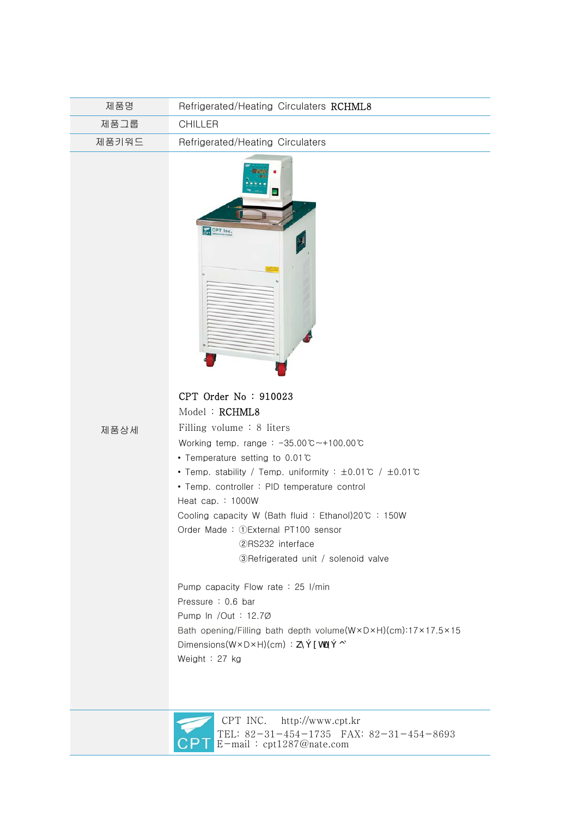| 제품명   | Refrigerated/Heating Circulaters RCHML8                                                                                                                                                                                                                                                                                                                                                                                                                                                                                                             |
|-------|-----------------------------------------------------------------------------------------------------------------------------------------------------------------------------------------------------------------------------------------------------------------------------------------------------------------------------------------------------------------------------------------------------------------------------------------------------------------------------------------------------------------------------------------------------|
| 제품그룹  | <b>CHILLER</b>                                                                                                                                                                                                                                                                                                                                                                                                                                                                                                                                      |
| 제품키워드 | Refrigerated/Heating Circulaters                                                                                                                                                                                                                                                                                                                                                                                                                                                                                                                    |
|       | э<br>CPT Inc.                                                                                                                                                                                                                                                                                                                                                                                                                                                                                                                                       |
| 제품상세  | CPT Order No: 910023<br>Model: RCHML8<br>Filling volume : 8 liters<br>Working temp. range: $-35.00^{\circ}$ C ~ + 100.00 $^{\circ}$ C<br>• Temperature setting to 0.01°C<br>• Temp. stability / Temp. uniformity : ±0.01℃ / ±0.01℃<br>• Temp. controller : PID temperature control<br>Heat cap. : 1000W<br>Cooling capacity W (Bath fluid: Ethanol)20℃ : 150W<br>Order Made: 1 External PT100 sensor<br>2RS232 interface<br>3)Refrigerated unit / solenoid valve<br>Pump capacity Flow rate : 25 I/min<br>Pressure: 0.6 bar<br>Pump In /Out : 12.70 |
|       | Bath opening/Filling bath depth volume(WxDxH)(cm):17x17.5x15<br>Dimensions(W×D×H)(cm): km- I hfm- oq<br>Weight: 27 kg                                                                                                                                                                                                                                                                                                                                                                                                                               |

CPT INC. http://www.cpt.kr

E-mail : cpt1287@nate.com

TEL: 82-31-454-1735 FAX: 82-31-454-8693